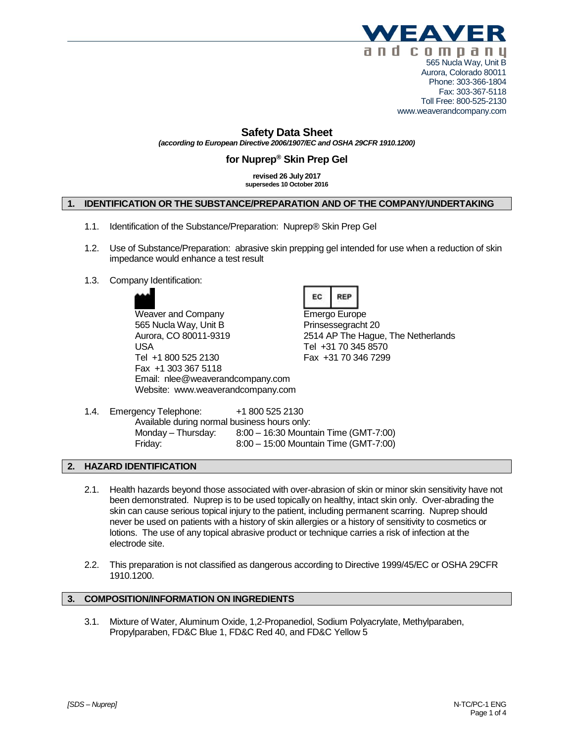

Fax: 303-367-5118 Toll Free: 800-525-2130 www.weaverandcompany.com

## **Safety Data Sheet**

*(according to European Directive 2006/1907/EC and OSHA 29CFR 1910.1200)*

# **for Nuprep® Skin Prep Gel**

**revised 26 July 2017 supersedes 10 October 2016**

## **1. IDENTIFICATION OR THE SUBSTANCE/PREPARATION AND OF THE COMPANY/UNDERTAKING**

- 1.1. Identification of the Substance/Preparation: Nuprep® Skin Prep Gel
- 1.2. Use of Substance/Preparation: abrasive skin prepping gel intended for use when a reduction of skin impedance would enhance a test result
- 1.3. Company Identification:



Weaver and Company **Emergo Europe** 565 Nucla Way, Unit B Prinsessegracht 20 Aurora, CO 80011-9319 2514 AP The Hague, The Netherlands USA Tel +31 70 345 8570 Tel +1 800 525 2130 Fax +31 70 346 7299 Fax +1 303 367 5118 Email: nlee@weaverandcompany.com Website: www.weaverandcompany.com



1.4. Emergency Telephone: +1 800 525 2130 Available during normal business hours only: Monday – Thursday: 8:00 – 16:30 Mountain Time (GMT-7:00) Friday: 8:00 – 15:00 Mountain Time (GMT-7:00)

#### **2. HAZARD IDENTIFICATION**

- 2.1. Health hazards beyond those associated with over-abrasion of skin or minor skin sensitivity have not been demonstrated. Nuprep is to be used topically on healthy, intact skin only. Over-abrading the skin can cause serious topical injury to the patient, including permanent scarring. Nuprep should never be used on patients with a history of skin allergies or a history of sensitivity to cosmetics or lotions. The use of any topical abrasive product or technique carries a risk of infection at the electrode site.
- 2.2. This preparation is not classified as dangerous according to Directive 1999/45/EC or OSHA 29CFR 1910.1200.

#### **3. COMPOSITION/INFORMATION ON INGREDIENTS**

3.1. Mixture of Water, Aluminum Oxide, 1,2-Propanediol, Sodium Polyacrylate, Methylparaben, Propylparaben, FD&C Blue 1, FD&C Red 40, and FD&C Yellow 5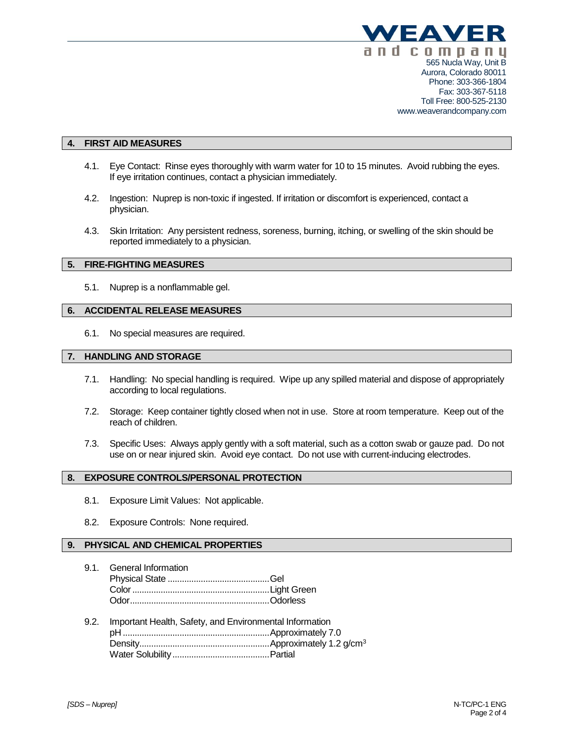

#### **4. FIRST AID MEASURES**

- 4.1. Eye Contact: Rinse eyes thoroughly with warm water for 10 to 15 minutes. Avoid rubbing the eyes. If eye irritation continues, contact a physician immediately.
- 4.2. Ingestion: Nuprep is non-toxic if ingested. If irritation or discomfort is experienced, contact a physician.
- 4.3. Skin Irritation: Any persistent redness, soreness, burning, itching, or swelling of the skin should be reported immediately to a physician.

#### **5. FIRE-FIGHTING MEASURES**

5.1. Nuprep is a nonflammable gel.

### **6. ACCIDENTAL RELEASE MEASURES**

6.1. No special measures are required.

#### **7. HANDLING AND STORAGE**

- 7.1. Handling: No special handling is required. Wipe up any spilled material and dispose of appropriately according to local regulations.
- 7.2. Storage: Keep container tightly closed when not in use. Store at room temperature. Keep out of the reach of children.
- 7.3. Specific Uses: Always apply gently with a soft material, such as a cotton swab or gauze pad. Do not use on or near injured skin. Avoid eye contact. Do not use with current-inducing electrodes.

#### **8. EXPOSURE CONTROLS/PERSONAL PROTECTION**

- 8.1. Exposure Limit Values: Not applicable.
- 8.2. Exposure Controls: None required.

## **9. PHYSICAL AND CHEMICAL PROPERTIES**

- 9.1. General Information Physical State ...........................................Gel Color..........................................................Light Green Odor...........................................................Odorless
- 9.2. Important Health, Safety, and Environmental Information pH ..............................................................Approximately 7.0 Density.......................................................Approximately 1.2 g/cm<sup>3</sup> Water Solubility.........................................Partial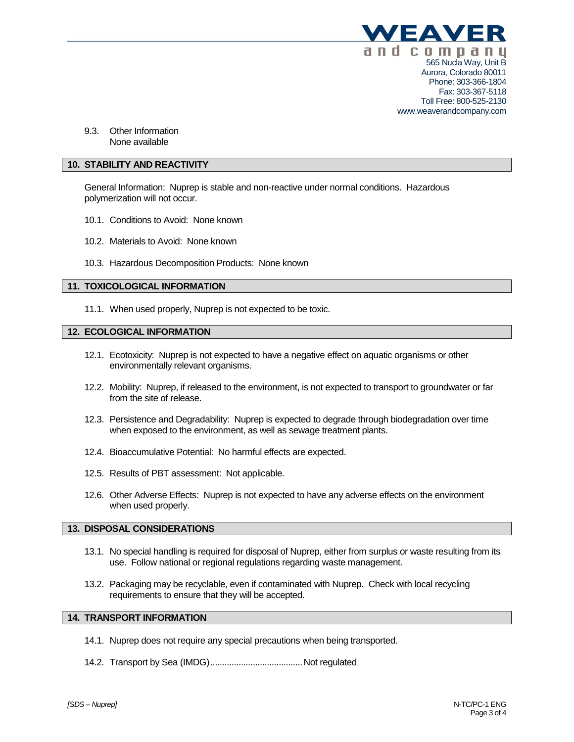

www.weaverandcompany.com

9.3. Other Information None available

## **10. STABILITY AND REACTIVITY**

General Information: Nuprep is stable and non-reactive under normal conditions. Hazardous polymerization will not occur.

- 10.1. Conditions to Avoid: None known
- 10.2. Materials to Avoid: None known
- 10.3. Hazardous Decomposition Products: None known

#### **11. TOXICOLOGICAL INFORMATION**

11.1. When used properly, Nuprep is not expected to be toxic.

## **12. ECOLOGICAL INFORMATION**

- 12.1. Ecotoxicity: Nuprep is not expected to have a negative effect on aquatic organisms or other environmentally relevant organisms.
- 12.2. Mobility: Nuprep, if released to the environment, is not expected to transport to groundwater or far from the site of release.
- 12.3. Persistence and Degradability: Nuprep is expected to degrade through biodegradation over time when exposed to the environment, as well as sewage treatment plants.
- 12.4. Bioaccumulative Potential: No harmful effects are expected.
- 12.5. Results of PBT assessment: Not applicable.
- 12.6. Other Adverse Effects: Nuprep is not expected to have any adverse effects on the environment when used properly.

### **13. DISPOSAL CONSIDERATIONS**

- 13.1. No special handling is required for disposal of Nuprep, either from surplus or waste resulting from its use. Follow national or regional regulations regarding waste management.
- 13.2. Packaging may be recyclable, even if contaminated with Nuprep. Check with local recycling requirements to ensure that they will be accepted.

### **14. TRANSPORT INFORMATION**

- 14.1. Nuprep does not require any special precautions when being transported.
- 14.2. Transport by Sea (IMDG).......................................Not regulated